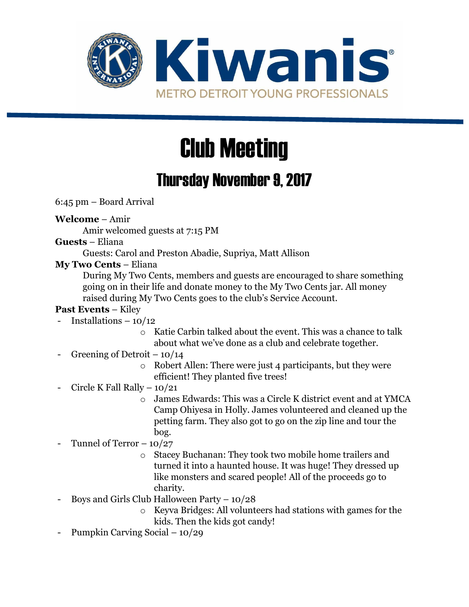

# Club Meeting

## Thursday November 9, 2017

6:45 pm – Board Arrival

**Welcome** – Amir

Amir welcomed guests at 7:15 PM

#### **Guests** – Eliana

Guests: Carol and Preston Abadie, Supriya, Matt Allison

#### **My Two Cents** – Eliana

During My Two Cents, members and guests are encouraged to share something going on in their life and donate money to the My Two Cents jar. All money raised during My Two Cents goes to the club's Service Account.

#### **Past Events** – Kiley

- Installations 10/12
	- o Katie Carbin talked about the event. This was a chance to talk about what we've done as a club and celebrate together.
- Greening of Detroit  $-10/14$ 
	- o Robert Allen: There were just 4 participants, but they were efficient! They planted five trees!
- Circle K Fall Rally  $10/21$ 
	- o James Edwards: This was a Circle K district event and at YMCA Camp Ohiyesa in Holly. James volunteered and cleaned up the petting farm. They also got to go on the zip line and tour the bog.

### Tunnel of Terror  $-10/27$

- o Stacey Buchanan: They took two mobile home trailers and turned it into a haunted house. It was huge! They dressed up like monsters and scared people! All of the proceeds go to charity.
- Boys and Girls Club Halloween Party  $-10/28$ 
	- o Keyva Bridges: All volunteers had stations with games for the kids. Then the kids got candy!
- Pumpkin Carving Social 10/29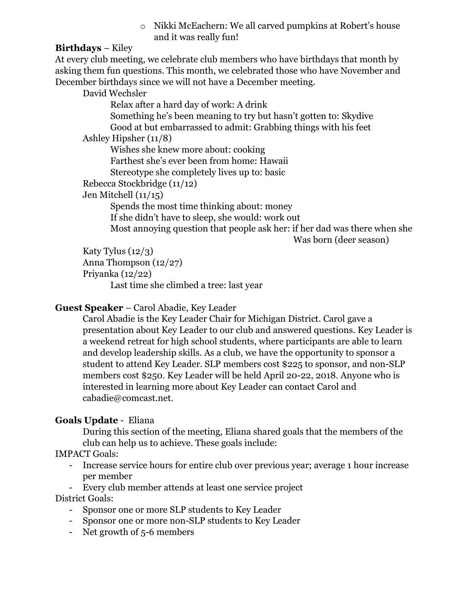o Nikki McEachern: We all carved pumpkins at Robert's house and it was really fun!

#### **Birthdays** – Kiley

At every club meeting, we celebrate club members who have birthdays that month by asking them fun questions. This month, we celebrated those who have November and December birthdays since we will not have a December meeting.

David Wechsler

Relax after a hard day of work: A drink Something he's been meaning to try but hasn't gotten to: Skydive Good at but embarrassed to admit: Grabbing things with his feet Ashley Hipsher (11/8)

Wishes she knew more about: cooking Farthest she's ever been from home: Hawaii Stereotype she completely lives up to: basic

Rebecca Stockbridge (11/12)

Jen Mitchell (11/15)

Spends the most time thinking about: money If she didn't have to sleep, she would: work out Most annoying question that people ask her: if her dad was there when she

Was born (deer season)

Katy Tylus (12/3) Anna Thompson (12/27) Priyanka (12/22)

Last time she climbed a tree: last year

#### **Guest Speaker** – Carol Abadie, Key Leader

Carol Abadie is the Key Leader Chair for Michigan District. Carol gave a presentation about Key Leader to our club and answered questions. Key Leader is a weekend retreat for high school students, where participants are able to learn and develop leadership skills. As a club, we have the opportunity to sponsor a student to attend Key Leader. SLP members cost \$225 to sponsor, and non-SLP members cost \$250. Key Leader will be held April 20-22, 2018. Anyone who is interested in learning more about Key Leader can contact Carol and cabadie@comcast.net.

#### **Goals Update** - Eliana

During this section of the meeting, Eliana shared goals that the members of the club can help us to achieve. These goals include:

#### IMPACT Goals:

- Increase service hours for entire club over previous year; average 1 hour increase per member
- Every club member attends at least one service project

#### District Goals:

- Sponsor one or more SLP students to Key Leader
- Sponsor one or more non-SLP students to Key Leader
- Net growth of 5-6 members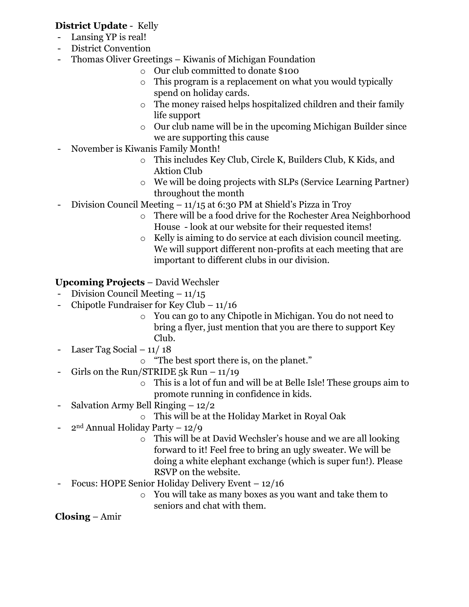#### **District Update** - Kelly

- Lansing YP is real!
- District Convention
- Thomas Oliver Greetings Kiwanis of Michigan Foundation
	- o Our club committed to donate \$100
	- o This program is a replacement on what you would typically spend on holiday cards.
	- o The money raised helps hospitalized children and their family life support
	- o Our club name will be in the upcoming Michigan Builder since we are supporting this cause
- November is Kiwanis Family Month!
	- o This includes Key Club, Circle K, Builders Club, K Kids, and Aktion Club
	- o We will be doing projects with SLPs (Service Learning Partner) throughout the month
- Division Council Meeting 11/15 at 6:30 PM at Shield's Pizza in Troy
	- o There will be a food drive for the Rochester Area Neighborhood House - look at our website for their requested items!
	- o Kelly is aiming to do service at each division council meeting. We will support different non-profits at each meeting that are important to different clubs in our division.

#### **Upcoming Projects** – David Wechsler

- Division Council Meeting  $-11/15$
- Chipotle Fundraiser for Key Club 11/16
	- o You can go to any Chipotle in Michigan. You do not need to bring a flyer, just mention that you are there to support Key Club.
- Laser Tag Social  $-11/18$ 
	- o "The best sport there is, on the planet."
- Girls on the Run/STRIDE 5k Run  $-11/19$ 
	- o This is a lot of fun and will be at Belle Isle! These groups aim to promote running in confidence in kids.
- Salvation Army Bell Ringing 12/2
	- o This will be at the Holiday Market in Royal Oak
- $2<sup>nd</sup>$  Annual Holiday Party 12/9
	- o This will be at David Wechsler's house and we are all looking forward to it! Feel free to bring an ugly sweater. We will be doing a white elephant exchange (which is super fun!). Please RSVP on the website.
- Focus: HOPE Senior Holiday Delivery Event 12/16
	- o You will take as many boxes as you want and take them to seniors and chat with them.

#### **Closing** – Amir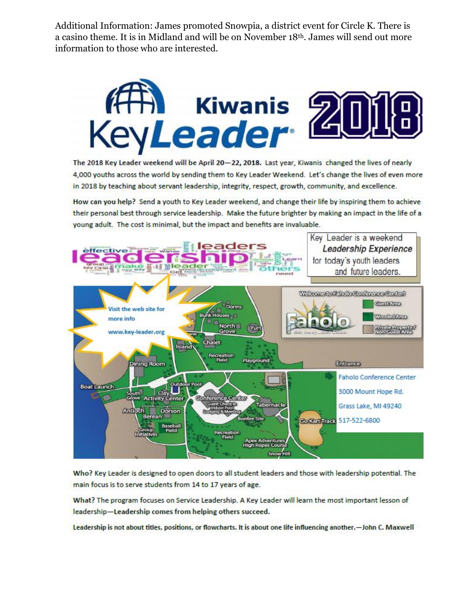Additional Information: James promoted Snowpia, a district event for Circle K. There is a casino theme. It is in Midland and will be on November 18<sup>th</sup>. James will send out more information to those who are interested.



The 2018 Key Leader weekend will be April 20-22, 2018. Last year, Kiwanis changed the lives of nearly 4,000 youths across the world by sending them to Key Leader Weekend. Let's change the lives of even more in 2018 by teaching about servant leadership, integrity, respect, growth, community, and excellence.

How can you help? Send a youth to Key Leader weekend, and change their life by inspiring them to achieve their personal best through service leadership. Make the future brighter by making an impact in the life of a young adult. The cost is minimal, but the impact and benefits are invaluable.



Who? Key Leader is designed to open doors to all student leaders and those with leadership potential. The main focus is to serve students from 14 to 17 years of age.

What? The program focuses on Service Leadership. A Key Leader will learn the most important lesson of leadership-Leadership comes from helping others succeed.

Leadership is not about titles, positions, or flowcharts. It is about one life influencing another.—John C. Maxwell